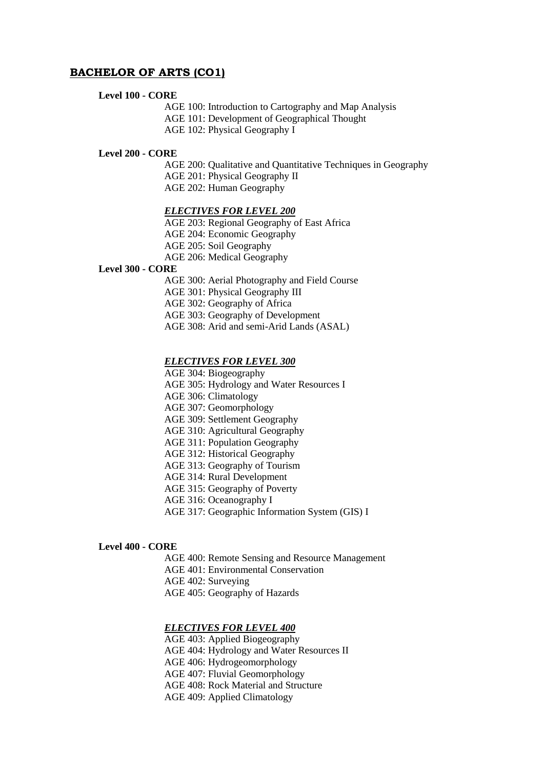# **BACHELOR OF ARTS (CO1)**

## **Level 100 - CORE**

AGE 100: Introduction to Cartography and Map Analysis

AGE 101: Development of Geographical Thought

AGE 102: Physical Geography I

#### **Level 200 - CORE**

AGE 200: Qualitative and Quantitative Techniques in Geography AGE 201: Physical Geography II AGE 202: Human Geography

### *ELECTIVES FOR LEVEL 200*

AGE 203: Regional Geography of East Africa AGE 204: Economic Geography AGE 205: Soil Geography AGE 206: Medical Geography

# **Level 300 - CORE**

AGE 300: Aerial Photography and Field Course AGE 301: Physical Geography III AGE 302: Geography of Africa AGE 303: Geography of Development

AGE 308: Arid and semi-Arid Lands (ASAL)

#### *ELECTIVES FOR LEVEL 300*

AGE 304: Biogeography

AGE 305: Hydrology and Water Resources I

AGE 306: Climatology

AGE 307: Geomorphology

AGE 309: Settlement Geography

AGE 310: Agricultural Geography

AGE 311: Population Geography

AGE 312: Historical Geography

AGE 313: Geography of Tourism

AGE 314: Rural Development

AGE 315: Geography of Poverty

AGE 316: Oceanography I

AGE 317: Geographic Information System (GIS) I

### **Level 400 - CORE**

AGE 400: Remote Sensing and Resource Management AGE 401: Environmental Conservation AGE 402: Surveying AGE 405: Geography of Hazards

## *ELECTIVES FOR LEVEL 400*

AGE 403: Applied Biogeography AGE 404: Hydrology and Water Resources II AGE 406: Hydrogeomorphology AGE 407: Fluvial Geomorphology AGE 408: Rock Material and Structure AGE 409: Applied Climatology